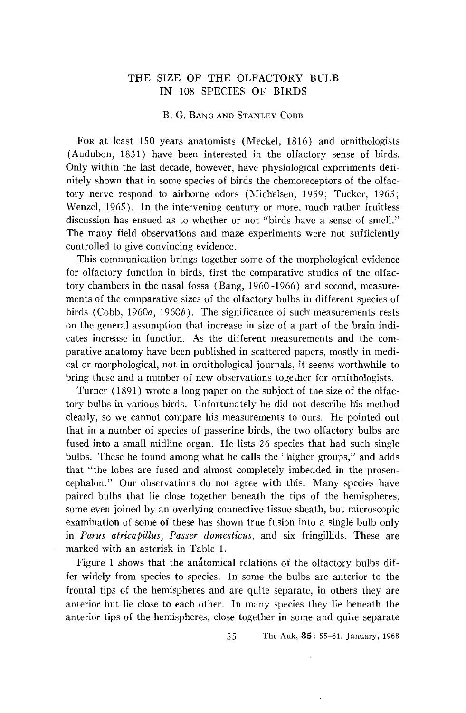## **THE SIZE OF THE OLFACTORY BULB IN 108 SPECIES OF BIRDS**

### **B. G. BANG AND STANLEY COBB**

**FoR at least 150 years anatomists (Meckel, 1816) and ornithologists (Audubon, 1831) have been interested in the olfactory sense of birds. Only within the last decade, however, have physiological experiments defi• nitely shown that in some species of birds the chemoreceptors of the olfactory nerve respond to airborne odors (Michelsen, 1959; Tucker, 1965; Wenzel, 1965). In the intervening century or more, much rather fruitless discussion has ensued as to whether or not "birds have a sense of smell." The many field observations and maze experiments were not sufficiently controlled to give convincing evidence.** 

**This communication brings together some of the morphological evidence for olfactory function in birds, first the comparative studies of the olfactory chambers in the nasal fossa (Bang, 1960-1966) and second, measurements of the comparative sizes of the olfactory bulbs in different species of**  birds (Cobb, 1960*a*, 1960*b*). The significance of such measurements rests **on the general assumption that increase in size of a part of the brain indicates increase in function. As the different measurements and the comparative anatomy have been published in scattered papers, mostly in medical or morphological, not in ornithological journals, it seems worthwhile to bring these and a number of new observations together for ornithologists.** 

**Turner (1891) wrote a long paper on the subject of the size of the olfactory bulbs in various birds. Unfortunately he did not describe his method clearly, so we cannot compare his measurements to ours. He pointed out that in a number of species of passerine birds, the two olfactory bulbs are fused into a small midline organ. He lists 26 species that had such single bulbs. These he found among what he calls the "higher groups," and adds that "the lobes are fused and almost completely imbedded in the prosencephalon." Our observations do not agree with this. Many species have paired bulbs that lie close together beneath the tips of the hemispheres, some even joined by an overlying connective tissue sheath, but microscopic examination of some of these has shown true fusion into a single bulb only in Parus atricapillus, Passer domesticus, and six fringillids. These are marked with an asterisk in Table 1.** 

Figure 1 shows that the anatomical relations of the olfactory bulbs dif**fer widely from species to species. In some the bulbs are anterior to the frontal tips of the hemispheres and are quite separate, in others they are anterior but lie dose to each other. In many species they lie beneath the anterior tips of the hemispheres, close together in some and quite separate** 

**55 The Auk, 85: 55-61. January, 1968**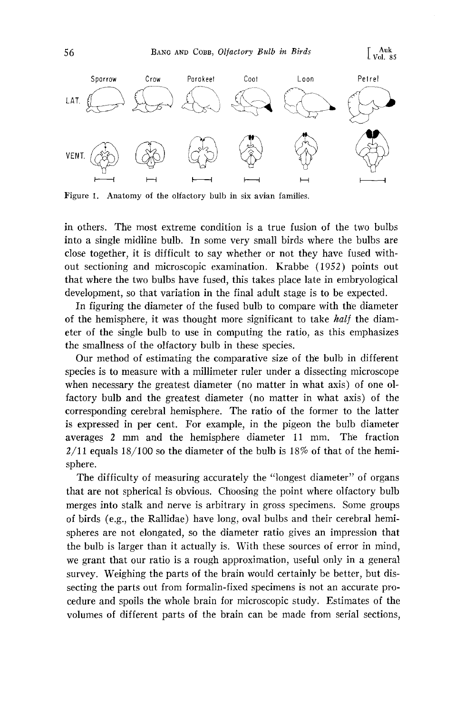

**Figure 1. Anatomy of the olfactory bulb in six avian families.** 

**in others. The most extreme condition is a true fusion of the two bulbs into a single midline bulb. In some very small birds where the bulbs are close together, it is difficult to say whether or not they have fused without sectioning and microscopic examination. Krabbe (1952) points out that where the two bulbs have fused, this takes place late in embryological development, so that variation in the final adult stage is to be expected.** 

**In figuring the diameter of the fused bulb to compare with the diameter**  of the hemisphere, it was thought more significant to take *half* the diam**eter of the single bulb to use in computing the ratio, as this emphasizes the smallness of the olfactory bulb in these species.** 

**Our method of estimating the comparative size of the bulb in different species is to measure with a millimeter ruler under a dissecting microscope**  when necessary the greatest diameter (no matter in what axis) of one ol**factory bulb and the greatest diameter (no matter in what axis) of the corresponding cerebral hemisphere. The ratio of the former to the latter is expressed in per cent. For example, in the pigeon the bulb diameter**  averages 2 mm and the hemisphere diameter 11 mm. The fraction **2/11 equals 18/100 so the diameter of the bulb is 18% of that of the hemisphere.** 

**The difficulty of measuring accurately the "longest diameter" of organs that are not spherical is obvious. Ch'oosing the point where olfactory bulb merges into stalk and nerve is arbitrary in gross specimens. Some groups of birds (e.g., the Rallidae) have long, oval bulbs and their cerebral hemispheres are not elongated, so the diameter ratio gives an impression that the bulb is larger than it actually is. With these sources of error in mind, we grant that our ratio is a rough approximation, useful only in a general survey. Weighing the parts of the brain would certainly be better, but dissecting the parts out from formalin-fixed specimens is not an accurate pro**cedure and spoils the whole brain for microscopic study. Estimates of the **volumes of different parts of the brain can be made from serial sections,**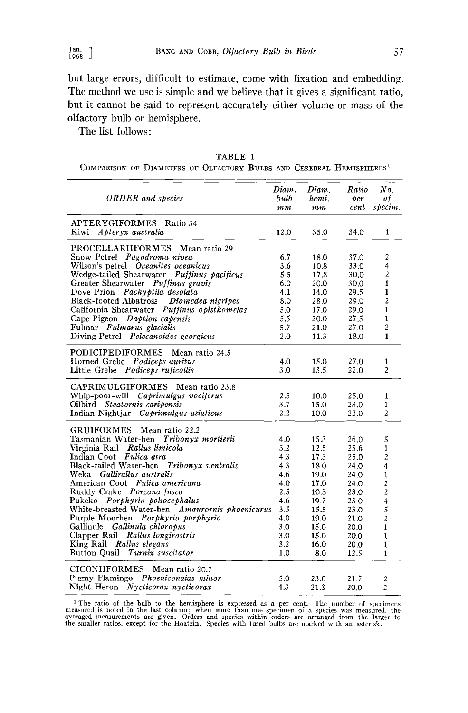**but large errors, difficult to estimate, come with fixation and embedding. The method we use is simple and we believe that it gives a significant ratio, but it cannot be said to represent accurately either volume or mass of the olfactory bulb or hemisphere.** 

**The list follows:** 

| TABLE 1<br>COMPARISON OF DIAMETERS OF OLFACTORY BULBS AND CEREBRAL HEMISPHERES <sup>1</sup> |  |  |  |  |  |  |  |  |  |
|---------------------------------------------------------------------------------------------|--|--|--|--|--|--|--|--|--|
|                                                                                             |  |  |  |  |  |  |  |  |  |

| <b>ORDER</b> and species                                                                                                                                                                                                                                                                                                                                                                                                                                                                                                                              | Diam.<br>bulb<br>m <sub>m</sub>                                                               | Diam.<br>hemi.<br>mm                                                                                        | Ratio<br>per<br>cent                                                                                         | No.<br>of<br>specim.                                                                                                                                                          |
|-------------------------------------------------------------------------------------------------------------------------------------------------------------------------------------------------------------------------------------------------------------------------------------------------------------------------------------------------------------------------------------------------------------------------------------------------------------------------------------------------------------------------------------------------------|-----------------------------------------------------------------------------------------------|-------------------------------------------------------------------------------------------------------------|--------------------------------------------------------------------------------------------------------------|-------------------------------------------------------------------------------------------------------------------------------------------------------------------------------|
| APTERYGIFORMES Ratio 34<br>Kiwi<br>Apteryx australia                                                                                                                                                                                                                                                                                                                                                                                                                                                                                                  | 12.0                                                                                          | 35.0                                                                                                        | 34.0                                                                                                         | $\mathbf{1}$                                                                                                                                                                  |
| PROCELLARIIFORMES Mean ratio 29<br>Snow Petrel Pagodroma nivea<br>Wilson's petrel Oceanites oceanicus<br>Wedge-tailed Shearwater Puffinus pacificus<br>Greater Shearwater Puffinus gravis<br>Dove Prion Pachyptila desolata<br>Black-footed Albatross Diomedea nigripes<br>California Shearwater Puffinus opisthomelas<br>Cape Pigeon Daption capensis<br>Fulmar Fulmarus glacialis<br>Diving Petrel Pelecanoides georgicus                                                                                                                           | 6.7<br>3.6<br>5.5<br>6.0<br>4.1<br>8.0<br>5.0<br>5.5<br>5.7<br>2.0                            | 18.0<br>10.8<br>17.8<br>20.0<br>14.0<br>28.0<br>17.0<br>20.0<br>21.0<br>11.3                                | 37.0<br>33.0<br>30.0<br>30.0<br>29.5<br>29.0<br>29.0<br>27.5<br>27.0<br>18.0                                 | 2<br>$\overline{4}$<br>$\overline{c}$<br>$\mathbf{1}$<br>$\mathbf{1}$<br>$\overline{c}$<br>$\mathbf{1}$<br>$\mathbf{1}$<br>$\overline{c}$<br>$\mathbf{1}$                     |
| <b>PODICIPEDIFORMES</b><br>Mean ratio 24.5<br>Horned Grebe Podiceps auritus<br>Little Grebe Podiceps ruficollis                                                                                                                                                                                                                                                                                                                                                                                                                                       | 4.0<br>3.0                                                                                    | 15.0<br>13.5                                                                                                | 27.0<br>22.0                                                                                                 | 1<br>2                                                                                                                                                                        |
| CAPRIMULGIFORMES<br>Mean ratio 23.8<br>Whip-poor-will<br>Caprimulgus vociferus<br>Oilbird Steatornis caripensis<br>Indian Nightjar Caprimulgus asiaticus                                                                                                                                                                                                                                                                                                                                                                                              | 2.5<br>3.7<br>2.2                                                                             | 10.0<br>15.0<br>10.0                                                                                        | 25.0<br>23.0<br>22.0                                                                                         | 1<br>$\mathbf{1}$<br>$\overline{c}$                                                                                                                                           |
| <b>GRUIFORMES</b><br>Mean ratio 22.2<br>Tasmanian Water-hen Tribonyx mortierii<br>Virginia Rail Rallus limicola<br>Indian Coot Fulica atra<br>Black-tailed Water-hen Tribonyx ventralis<br>Gallirallus australis<br>Weka<br>American Coot Fulica americana<br>Ruddy Crake Porzana fusca<br>Pukeko Porphyrio poliocephalus<br>White-breasted Water-hen Amaurornis phoenicurus<br>Purple Moorhen Porphyrio porphyrio<br>Gallinule Gallinula chloropus<br>Clapper Rail Rallus longirostris<br>King Rail Rallus elegans<br>Button Quail Turnix suscitator | 4.0<br>3.2<br>43<br>4.3<br>4.6<br>4.0<br>2.5<br>4.6<br>3.5<br>4.0<br>3.0<br>3.0<br>3.2<br>1.0 | 15.3<br>12.5<br>17.3<br>18.0<br>19.0<br>17.0<br>10.8<br>19.7<br>15.5<br>19.0<br>15.0<br>15.0<br>16.0<br>8.0 | 26.0<br>25.6<br>25.0<br>24.0<br>24.0<br>24.0<br>23.0<br>23.0<br>23.0<br>21.0<br>20.0<br>20.0<br>20.0<br>12.5 | 5<br>1<br>$\overline{c}$<br>$\overline{4}$<br>1<br>$\overline{\mathbf{c}}$<br>$\overline{2}$<br>4<br>5<br>$\overline{c}$<br>$\mathbf{1}$<br>1<br>$\mathbf{1}$<br>$\mathbf{1}$ |
| <b>CICONIIFORMES</b><br>Mean ratio 20.7<br>Pigmy Flamingo Phoeniconaias minor<br>Night Heron Nycticorax nycticorax                                                                                                                                                                                                                                                                                                                                                                                                                                    | 5.0<br>4.3                                                                                    | 23.0<br>213                                                                                                 | 21.7<br>20.0                                                                                                 | 2<br>$\overline{c}$                                                                                                                                                           |

<sup>1</sup> The ratio of the bulb to the hemisphere is expressed as a per cent. The number of specimens measured is noted in the last column; when more than one specime averaged measurements are given. Orders and species within or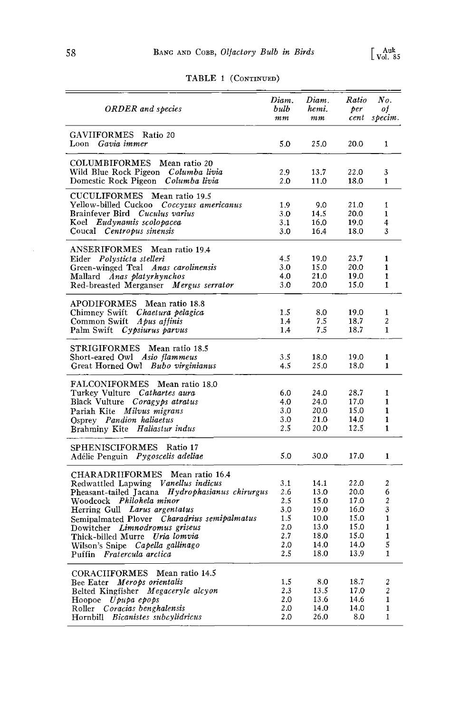| <b>ORDER</b> and species                                                     | Diam.<br>bulb | Diam.<br>hemi. | Ratio<br>per | No.<br>of                    |
|------------------------------------------------------------------------------|---------------|----------------|--------------|------------------------------|
|                                                                              | mm            | mm             | cent         | specim.                      |
| GAVIIFORMES<br>Ratio 20                                                      |               |                |              |                              |
| Loon Gavia immer                                                             | 5.0           | 25.0           | 20.0         | 1                            |
|                                                                              |               |                |              |                              |
| COLUMBIFORMES<br>Mean ratio 20                                               |               |                |              |                              |
| Wild Blue Rock Pigeon <i>Columba livia</i>                                   | 2.9           | 13.7           | 22.0         | 3                            |
| Domestic Rock Pigeon Columba livia                                           | 2.0           | 11.0           | 18.0         | $\mathbf{1}$                 |
| CUCULIFORMES Mean ratio 19.5                                                 |               |                |              |                              |
| Yellow-billed Cuckoo<br>Coccyzus americanus                                  | 1.9           | 9.0            | 21.0         | 1                            |
| Brainfever Bird Cuculus varius                                               | 3.0           | 14.5           | 20.0         | 1                            |
| Koel Eudynamis scolopacea<br>Coucal Centropus sinensis                       | 3.1<br>3.0    | 16.0<br>16.4   | 19.0<br>18.0 | 4<br>3                       |
|                                                                              |               |                |              |                              |
| <b>ANSERIFORMES</b><br>Mean ratio 19.4                                       |               |                |              |                              |
| Eider Polysticta stelleri                                                    | 4.5           | 19.0           | 23.7         | 1                            |
| Anas carolinensis<br>Green-winged Teal                                       | 3.0           | 15.0           | 20.0         | $\mathbf{1}$                 |
| Mallard Anas platyrhynchos                                                   | 4.0           | 21.0           | 19.0         | $\mathbf{1}$                 |
| Red-breasted Merganser Mergus serrator                                       | 3.0           | 20.0           | 15.0         | $\mathbf{1}$                 |
|                                                                              |               |                |              |                              |
| <b>APODIFORMES</b><br>Mean ratio 18.8<br>Chimney Swift Chaetura pelagica     | 1.5           | 8.0            | 19.0         | 1                            |
| Common Swift Apus affinis                                                    | 1.4           | 7.5            | 18.7         | 2                            |
| Palm Swift Cypsiurus parvus                                                  | 1.4           | 7.5            | 18.7         | $\mathbf{1}$                 |
|                                                                              |               |                |              |                              |
| STRIGIFORMES<br>Mean ratio 18.5                                              |               |                |              |                              |
| Short-eared Owl Asio flammeus                                                | 3.5           | 18.0           | 19.0         | 1                            |
| Great Horned Owl Bubo virginianus                                            | 4.5           | 25.0           | 18.0         | 1                            |
| FALCONIFORMES<br>Mean ratio 18.0                                             |               |                |              |                              |
| Turkey Vulture Cathartes aura                                                | 6.0           | 24.0           | 28.7         | 1                            |
| Black Vulture Coragy ps atratus                                              | 4.0           | 24.0           | 17.0         | 1                            |
| Pariah Kite Milvus migrans                                                   | 3.0           | 20.0           | 15.0         | 1                            |
| Osprey Pandion haliaetus                                                     | 3.0           | 21.0           | 14.0         | 1                            |
| Brahminy Kite Haliastur indus                                                | 2.5           | 20.0           | 12.5         | $\mathbf{1}$                 |
| <b>SPHENISCIFORMES</b><br>Ratio 17                                           |               |                |              |                              |
| Adélie Penguin Pygoscelis adeliae                                            | 5.0           | 30.0           | 17.0         | $\mathbf{1}$                 |
|                                                                              |               |                |              |                              |
| CHARADRIIFORMES<br>Mean ratio 16.4                                           |               |                |              |                              |
| Redwattled Lapwing Vanellus indicus                                          | 3.1           | 14.1           | 22.0         | 2                            |
| Pheasant-tailed Jacana Hydrophasianus chirurgus                              | 2.6           | 13.0           | 20.0         | 6                            |
| Woodcock Philohela minor                                                     | 2.5           | 15.0           | 17.0         | $\boldsymbol{2}$             |
| Herring Gull Larus argentatus                                                | 3.0           | 19.0           | 16.0<br>15.0 | 3<br>$\mathbf{1}$            |
| Semipalmated Plover Charadrius semipalmatus<br>Dowitcher Limnodromus griseus | 1.5<br>2.0    | 10.0<br>13.0   | 15.0         | 1                            |
| Thick-billed Murre Uria lomvia                                               | 2.7           | 18.0           | 15.0         | $\mathbf{1}$                 |
| Wilson's Snipe Capella gallinago                                             | 2.0           | 14.0           | 14.0         | 5                            |
| Puffin Fratercula arctica                                                    | 2.5           | 18.0           | 13.9         | 1                            |
|                                                                              |               |                |              |                              |
| <b>CORACIIFORMES</b><br>Mean ratio 14.5                                      |               |                |              |                              |
| Bee Eater Merops orientalis                                                  | 1.5           | 8.0            | 18.7         | $\boldsymbol{2}$             |
| Belted Kingfisher Megaceryle alcyon                                          | 2.3           | 13.5           | 17.0         | $\overline{c}$               |
| Hoopoe $U$ pupa epops                                                        | 2.0<br>2.0    | 13.6<br>14.0   | 14.6<br>14.0 | $\mathbf{1}$<br>$\mathbf{1}$ |
| Roller Coracias benghalensis<br>Hornbill Bicanistes subcylidricus            | 2.0           | 26.0           | 8.0          | $\mathbf{1}$                 |
|                                                                              |               |                |              |                              |

# **TABLE 1 (CONTINUED)**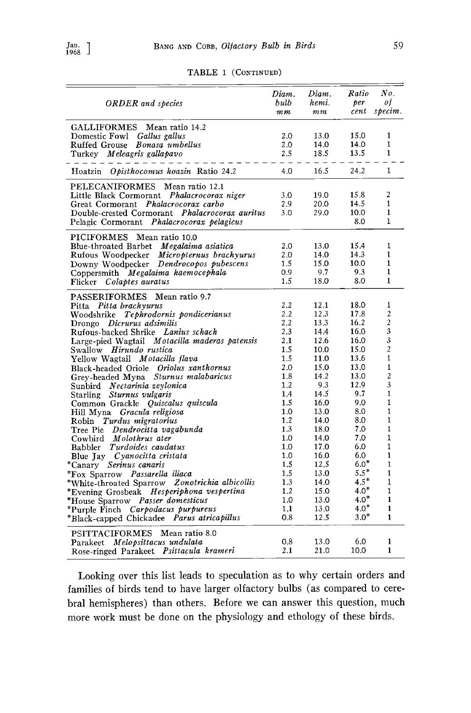| <b>ORDER</b> and species                                                               | Diam.<br>bulb<br>$\it{mm}$ | Diam.<br>hemi.<br>$\,mm$ | Ratio<br>per<br>cent | No.<br>οf<br>specim.         |
|----------------------------------------------------------------------------------------|----------------------------|--------------------------|----------------------|------------------------------|
| GALLIFORMES<br>Mean ratio 14.2<br>Domestic Fowl Gallus gallus                          | 2.0                        | 13.0                     | 15.0                 | 1<br>$\mathbf{1}$            |
| Ruffed Grouse Bonasa umbellus<br>Turkey Meleagris gallapavo                            | 2.0<br>2.5                 | 14.0<br>18.5             | 14.0<br>13.5         | $\mathbf{1}$                 |
| Hoatzin Opisthocomus hoazin Ratio 24.2                                                 | 4.0                        | 16.5                     | 24.2                 | 1                            |
| <b>PELECANIFORMES</b><br>Mean ratio 12.1<br>Little Black Cormorant Phalacrocorax niger | 3.0                        | 19.0                     | 15.8                 | 2                            |
| Great Cormorant Phalacrocorax carbo                                                    | 2.9                        | 20.0                     | 14.5                 | $\mathbf{1}$                 |
| Double-crested Cormorant Phalacrocorax auritus                                         | 3.0                        | 29.0                     | 10.0                 | $\mathbf{1}$                 |
| Pelagic Cormorant Phalacrocorax pelagicus                                              |                            |                          | 8.0                  | $\mathbf{1}$                 |
| <b>PICIFORMES</b><br>Mean ratio 10.0                                                   |                            |                          |                      |                              |
| Blue-throated Barbet Megalaima asiatica                                                | 2.0                        | 13.0                     | 15.4                 | 1                            |
| Rufous Woodpecker Micropternus brachyurus                                              | 2.0                        | 14.0                     | 14.3                 | 1<br>$\mathbf{1}$            |
| Downy Woodpecker Dendrocopos pubescens                                                 | 1.5                        | 15.0<br>9.7              | 10.0<br>9.3          | $\mathbf{1}$                 |
| Coppersmith Megalaima haemocephala<br>Flicker Colaptes auratus                         | 0.9<br>1.5                 | 18.0                     | 8.0                  | $\mathbf{1}$                 |
| PASSERIFORMES Mean ratio 9.7                                                           |                            |                          |                      |                              |
| Pitta brachyurus<br>Pitta                                                              | 2.2                        | 12.1                     | 18.0                 | 1                            |
| Woodshrike Tephrodornis pondicerianus                                                  | 2.2                        | 12.3                     | 17.8                 | $\overline{c}$               |
| Drongo <i>Dicrurus</i> adsimilis                                                       | 2.2                        | 13.3                     | 16.2                 | $\overline{\mathbf{c}}$      |
| Rufous-backed Shrike Lanius schach                                                     | 2.3                        | 14.4                     | 16.0                 | 3                            |
| Large-pied Wagtail Motacilla maderas patensis                                          | 2.1                        | 12.6                     | 16.0                 | 3                            |
| Swallow Hirundo rustica                                                                | 1.5                        | 10.0                     | 15.0                 | $\overline{c}$               |
| Yellow Wagtail <i>Motacilla flava</i>                                                  | 1.5                        | 11.0                     | 13.6                 | $\mathbf{1}$                 |
| Black-headed Oriole Oriolus xanthornus                                                 | 2.0                        | 15.0                     | 13.0                 | $\mathbf{1}$                 |
| Grey-headed Myna Sturnus malabaricus                                                   | 1.8                        | 14.2                     | 13.0                 | $\overline{c}$               |
| Sunbird Nectarinia zeylonica                                                           | 1.2                        | 9.3                      | 12.9                 | $\overline{3}$               |
| Starling Sturnus vulgaris                                                              | 1.4                        | 14.5                     | 9.7                  | $\mathbf{1}$                 |
| Common Grackle Quiscalus quiscula                                                      | 1.5                        | 16.0                     | 9.0                  | $\mathbf{1}$<br>$\mathbf{1}$ |
| Hill Myna Gracula religiosa                                                            | 1.0<br>1,2                 | 13.0<br>14.0             | 8.0<br>8.0           | $\mathbf{I}$                 |
| Robin Turdus migratorius                                                               | 1.3                        | 18.0                     | 7.0                  | $\mathbf{1}$                 |
| Tree Pie Dendrocitta vagabunda<br>Cowbird Molothrus ater                               | 1.0                        | 14.0                     | 7.0                  | $\mathbf{1}$                 |
| Babbler Turdoides caudatus                                                             | 1.0                        | 17.0                     | 6.0                  | $\mathbf{1}$                 |
| Blue Jay Cyanocitta cristata                                                           | 1.0                        | 16.0                     | 6.0                  | $\mathbf{1}$                 |
| *Canary Serinus canaris                                                                | 1.5                        | 12.5                     | $6.0*$               | $\mathbf{1}$                 |
| *Fox Sparrow Passarella iliaca                                                         | $1.5\,$                    | 13.0                     | $5.5*$               | $\mathbf{1}$                 |
| *White-throated Sparrow Zonotrichia albicollis                                         | 1.3                        | 14.0                     | $4.5*$               | $\mathbf{1}$                 |
| *Evening Grosbeak Hesperiphona vespertina                                              | 1.2                        | 15.0                     | $4.0*$               | $\mathbf{1}$                 |
| *House Sparrow Passer domesticus                                                       | 1.0                        | 13.0                     | $4.0*$               | $\mathbf{1}$                 |
| *Purple Finch Carpodacus purpureus                                                     | 1,1                        | 13.0                     | $4.0*$               | $\mathbf{1}$                 |
| *Black-capped Chickadee Parus atricapillus                                             | 0.8                        | 12.5                     | $3.0^*$              | 1                            |
| PSITTACIFORMES Mean ratio 8.0                                                          |                            |                          |                      |                              |
| Parakeet Melopsittacus undulata                                                        | 0.8                        | 13.0                     | 6.0                  | 1                            |
| Rose-ringed Parakeet Psittacula krameri                                                | 2.1                        | 21.0                     | 10.0                 | $\mathbf{1}$                 |

**Looking over this list leads to speculation as to why certain orders and families of birds tend to have larger olfactory bulbs (as compared to cerebral hemispheres) than others. Before we can answer this question, much more work must be done on the physiology and ethology of these birds.**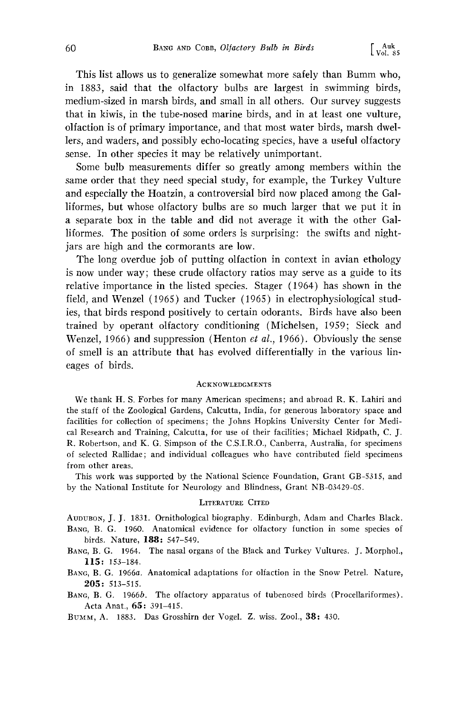**This list allows us to generalize somewhat more safely than Bumm who, in 1883, said that the olfactory bulbs are largest in swimming birds, medium-sized in marsh birds, and small in all others. Our survey suggests that in kiwis, in the tube-nosed marine birds, and in at least one vulture, olfaction is of primary importance, and that most water birds, marsh dwellers, and waders, and possibly echo-locating species, have a useful olfactory sense. In other species it may be relatively unimportant.** 

**Some bulb measurements differ so greatly among members within the same order that they need special study, for example, the Turkey Vulture and especially the Hoatzin, a controversial bird now placed among the Galliformes, but whose olfactory bulbs are so much larger that we put it in a separate box in the table and did not average it with the other Galliformes. The position of some orders is surprising: the swifts and nightjars are high and the cormorants are low.** 

**The long overdue job of putting olfaction in context in avian ethology is now under way; these crude olfactory ratios may serve as a guide to its relative importance in the listed species. Stager (1964) has shown in the field, and Wenzel (1965) and Tucker (1965) in electrophysiological studies, that birds respond positively to certain odorants. Birds have also been trained by operant olfactory conditioning (Michelsen, 1959; Sieck and Wenzel, 1966) and suppression (Henton et al., 1966). Obviously the sense of smell is an attribute that has evolved differentially in the various lineages of birds.** 

#### **ACKNOWLEDGMENTS**

**We thank H. S. Forbes for many American specimens; and abroad R. K. Lahiri and the staff of the Zoological Gardens, Calcutta, India, for generous laboratory space and facilities for collection of specimens; the Johns Hopkins University Center for Medical Research and Training, Calcutta, for use of their facilities; Michael Ridpath, C. J. R. Robertson, and K. G. Simpson of the C.S.I.R.O., Canberra, Australia, for specimens of selected Rallidae; and individual colleagues who have contributed field specimens from other areas.** 

**This work was supported by the National Science Foundation, Grant GB-5315, and by the National Institute for Neurology and Blindness, Grant NB-03429-05.** 

#### **LITERATURE CITED**

**AUDUBON, J. J. 1831. Ornithological biography. Edinburgh, Adam and Charles Black.**  BANG, B. G. 1960. Anatomical evidence for olfactory function in some species of **birds. Nature, 188: 547-549.** 

- BANG, B. G. 1964. The nasal organs of the Black and Turkey Vultures. J. Morphol., **115: 153-184.**
- BANG, B. G. 1966a. Anatomical adaptations for olfaction in the Snow Petrel. Nature, **205: 513-515.**
- **BANG, B. G. 1966b. The olfactory apparatus of tubenosed birds (Procellariformes). Acta Anat., 65: 391-415.**

**Btr•, A. 1883. Das Grosshirn der Vogel. Z. wiss. Zool., 38: 430.**